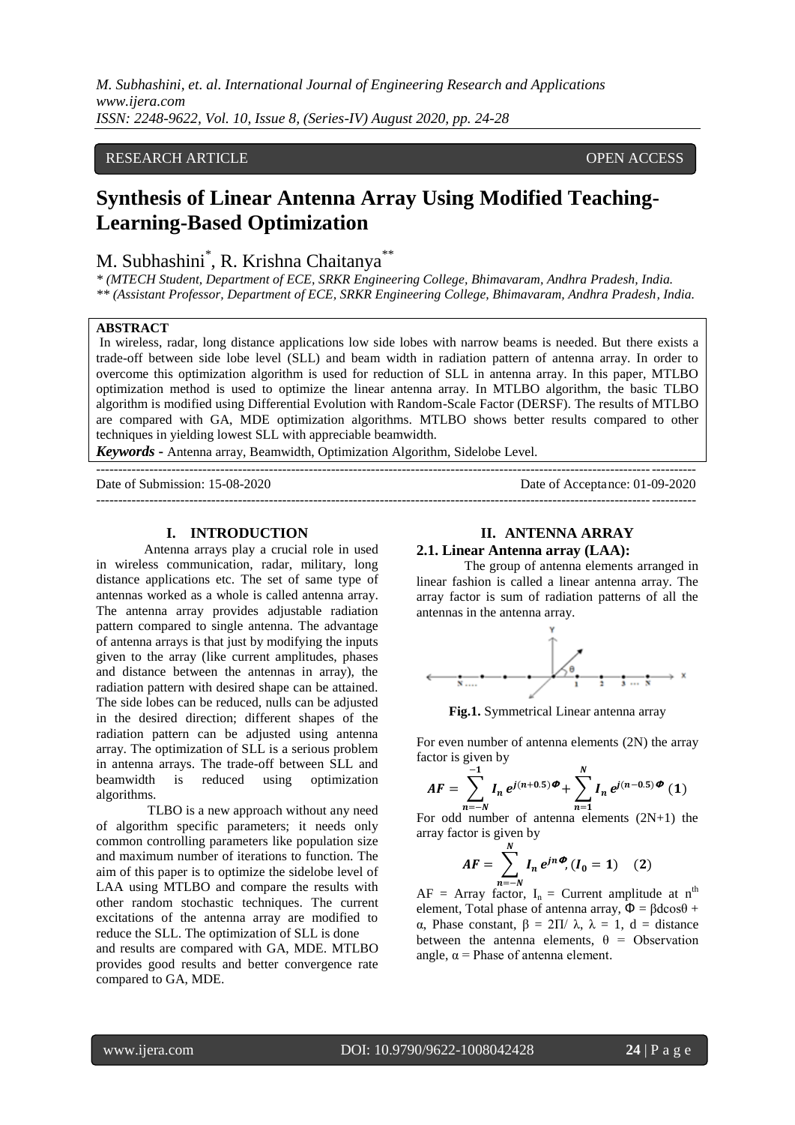*M. Subhashini, et. al. International Journal of Engineering Research and Applications www.ijera.com ISSN: 2248-9622, Vol. 10, Issue 8, (Series-IV) August 2020, pp. 24-28*

# RESEARCH ARTICLE **CONSERVERS** OPEN ACCESS

# **Synthesis of Linear Antenna Array Using Modified Teaching-Learning-Based Optimization**

# M. Subhashini<sup>\*</sup>, R. Krishna Chaitanya<sup>\*\*</sup>

*\* (MTECH Student, Department of ECE, SRKR Engineering College, Bhimavaram, Andhra Pradesh, India. \*\* (Assistant Professor, Department of ECE, SRKR Engineering College, Bhimavaram, Andhra Pradesh, India.*

#### **ABSTRACT**

In wireless, radar, long distance applications low side lobes with narrow beams is needed. But there exists a trade-off between side lobe level (SLL) and beam width in radiation pattern of antenna array. In order to overcome this optimization algorithm is used for reduction of SLL in antenna array. In this paper, MTLBO optimization method is used to optimize the linear antenna array. In MTLBO algorithm, the basic TLBO algorithm is modified using Differential Evolution with Random-Scale Factor (DERSF). The results of MTLBO are compared with GA, MDE optimization algorithms. MTLBO shows better results compared to other techniques in yielding lowest SLL with appreciable beamwidth.

*Keywords* **-** Antenna array, Beamwidth, Optimization Algorithm, Sidelobe Level.

--------------------------------------------------------------------------------------------------------------------------------------- Date of Submission: 15-08-2020 Date of Acceptance: 01-09-2020 ---------------------------------------------------------------------------------------------------------------------------------------

#### **I. INTRODUCTION**

Antenna arrays play a crucial role in used in wireless communication, radar, military, long distance applications etc. The set of same type of antennas worked as a whole is called antenna array. The antenna array provides adjustable radiation pattern compared to single antenna. The advantage of antenna arrays is that just by modifying the inputs given to the array (like current amplitudes, phases and distance between the antennas in array), the radiation pattern with desired shape can be attained. The side lobes can be reduced, nulls can be adjusted in the desired direction; different shapes of the radiation pattern can be adjusted using antenna array. The optimization of SLL is a serious problem in antenna arrays. The trade-off between SLL and beamwidth is reduced using optimization algorithms.

TLBO is a new approach without any need of algorithm specific parameters; it needs only common controlling parameters like population size and maximum number of iterations to function. The aim of this paper is to optimize the sidelobe level of LAA using MTLBO and compare the results with other random stochastic techniques. The current excitations of the antenna array are modified to reduce the SLL. The optimization of SLL is done and results are compared with GA, MDE. MTLBO provides good results and better convergence rate compared to GA, MDE.

#### **II. ANTENNA ARRAY 2.1. Linear Antenna array (LAA):**

The group of antenna elements arranged in linear fashion is called a linear antenna array. The array factor is sum of radiation patterns of all the antennas in the antenna array.



**Fig.1.** Symmetrical Linear antenna array

For even number of antenna elements (2N) the array factor is given by

$$
AF = \sum_{n=-N}^{-1} I_n e^{j(n+0.5)} \Phi + \sum_{n=1}^{N} I_n e^{j(n-0.5)} \Phi
$$
 (1)

For odd number of antenna elements (2N+1) the array factor is given by

$$
AF = \sum_{n=-N}^{N} I_n e^{jn\phi}, (I_0 = 1) \quad (2)
$$

 $AF = Array factor, I_n = Current amplitude at n<sup>th</sup>$ element, Total phase of antenna array,  $\Phi = \beta d\cos\theta + \beta d$ α, Phase constant, β = 2Π/ λ, λ = 1, d = distance between the antenna elements,  $\theta$  = Observation angle,  $\alpha$  = Phase of antenna element.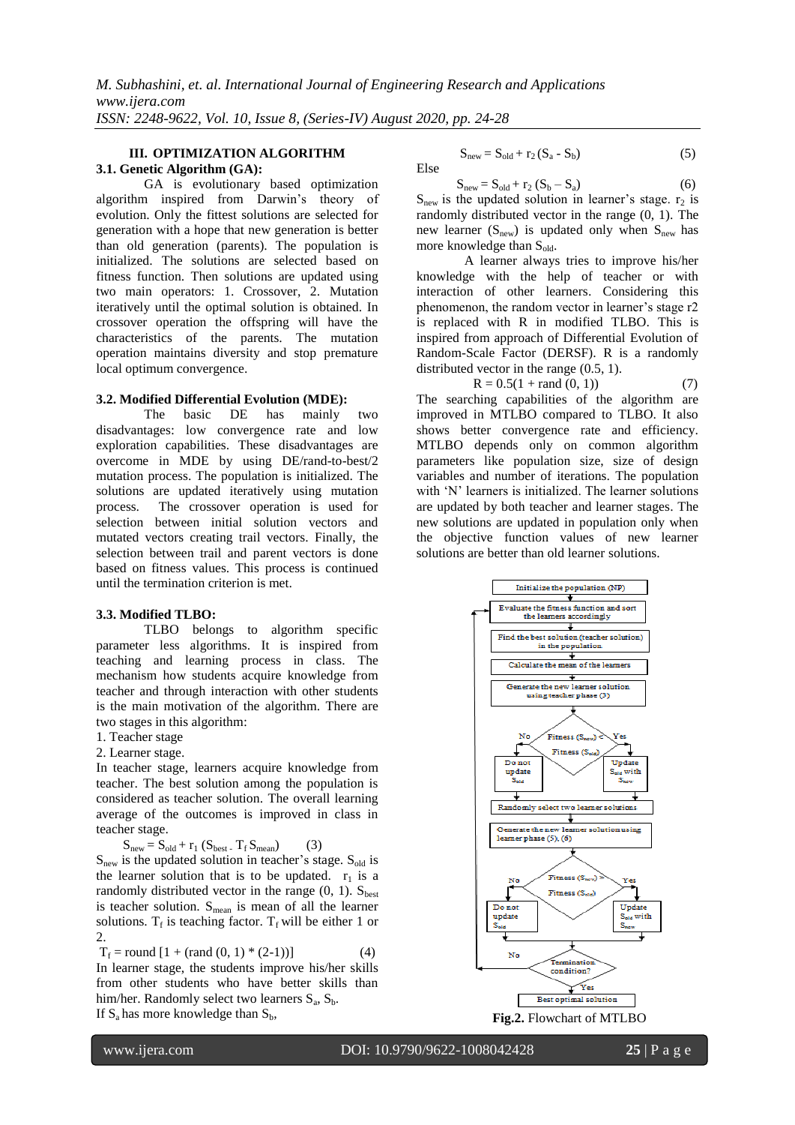#### **III. OPTIMIZATION ALGORITHM 3.1. Genetic Algorithm (GA):**

GA is evolutionary based optimization algorithm inspired from Darwin"s theory of evolution. Only the fittest solutions are selected for generation with a hope that new generation is better than old generation (parents). The population is initialized. The solutions are selected based on fitness function. Then solutions are updated using two main operators: 1. Crossover, 2. Mutation iteratively until the optimal solution is obtained. In crossover operation the offspring will have the characteristics of the parents. The mutation operation maintains diversity and stop premature local optimum convergence.

## **3.2. Modified Differential Evolution (MDE):**

The basic DE has mainly two disadvantages: low convergence rate and low exploration capabilities. These disadvantages are overcome in MDE by using DE/rand-to-best/2 mutation process. The population is initialized. The solutions are updated iteratively using mutation process. The crossover operation is used for selection between initial solution vectors and mutated vectors creating trail vectors. Finally, the selection between trail and parent vectors is done based on fitness values. This process is continued until the termination criterion is met.

### **3.3. Modified TLBO:**

TLBO belongs to algorithm specific parameter less algorithms. It is inspired from teaching and learning process in class. The mechanism how students acquire knowledge from teacher and through interaction with other students is the main motivation of the algorithm. There are two stages in this algorithm:

1. Teacher stage

2. Learner stage.

In teacher stage, learners acquire knowledge from teacher. The best solution among the population is considered as teacher solution. The overall learning average of the outcomes is improved in class in teacher stage.

 $S<sub>new</sub> = S<sub>old</sub> + r<sub>1</sub> (S<sub>best</sub> - T<sub>f</sub> S<sub>mean</sub>)$  (3)

 $S<sub>new</sub>$  is the updated solution in teacher's stage.  $S<sub>old</sub>$  is the learner solution that is to be updated.  $r_1$  is a randomly distributed vector in the range  $(0, 1)$ . S<sub>best</sub> is teacher solution.  $S_{mean}$  is mean of all the learner solutions.  $T_f$  is teaching factor.  $T_f$  will be either 1 or 2.

$$
T_f = round [1 + (rand (0, 1) * (2-1))]
$$
 (4)

In learner stage, the students improve his/her skills from other students who have better skills than him/her. Randomly select two learners  $S_a$ ,  $S_b$ . If  $S_a$  has more knowledge than  $S_b$ ,

$$
S_{new} = S_{old} + r_2 (S_a - S_b)
$$
 (5)

Else

 $S_{new} = S_{old} + r_2 (S_b - S_a)$  (6)  $S<sub>new</sub>$  is the updated solution in learner's stage. r<sub>2</sub> is randomly distributed vector in the range (0, 1). The new learner  $(S_{new})$  is updated only when  $S_{new}$  has more knowledge than  $S_{old}$ .

A learner always tries to improve his/her knowledge with the help of teacher or with interaction of other learners. Considering this phenomenon, the random vector in learner's stage r2 is replaced with R in modified TLBO. This is inspired from approach of Differential Evolution of Random-Scale Factor (DERSF). R is a randomly distributed vector in the range (0.5, 1).

$$
R = 0.5(1 + \text{rand}(0, 1))
$$
 (7)

The searching capabilities of the algorithm are improved in MTLBO compared to TLBO. It also shows better convergence rate and efficiency. MTLBO depends only on common algorithm parameters like population size, size of design variables and number of iterations. The population with 'N' learners is initialized. The learner solutions are updated by both teacher and learner stages. The new solutions are updated in population only when the objective function values of new learner solutions are better than old learner solutions.

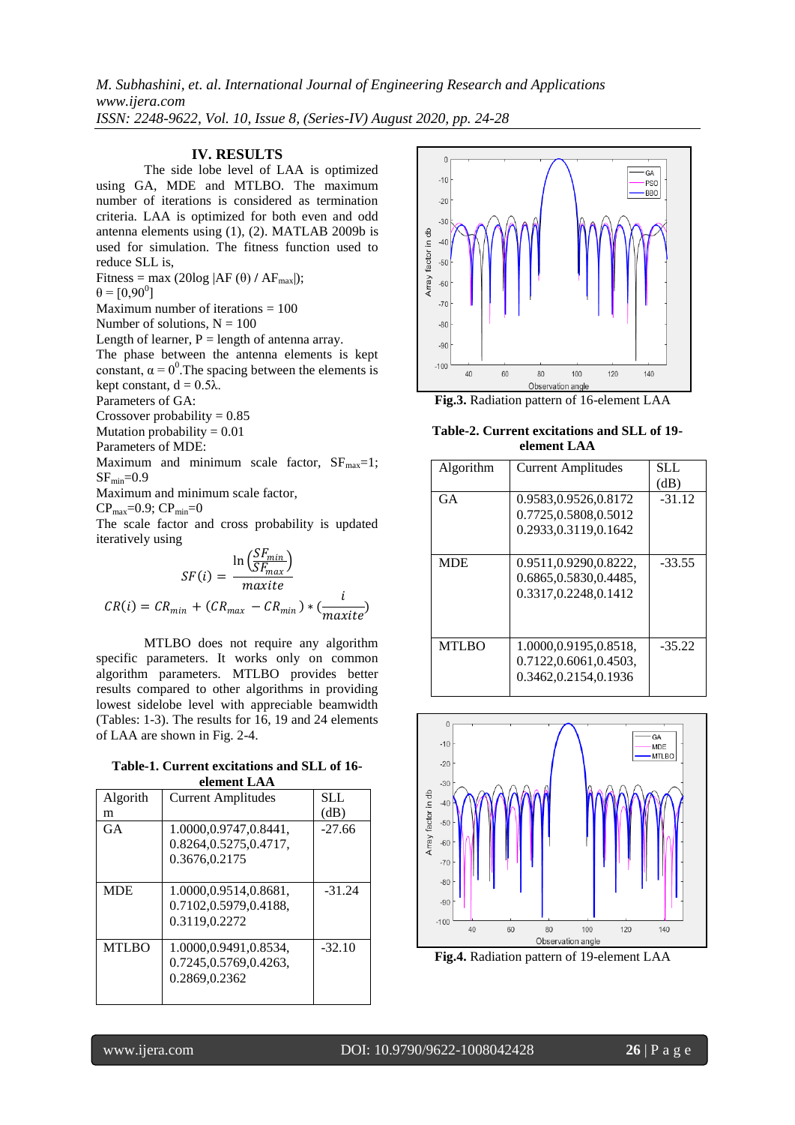*M. Subhashini, et. al. International Journal of Engineering Research and Applications www.ijera.com ISSN: 2248-9622, Vol. 10, Issue 8, (Series-IV) August 2020, pp. 24-28*

### **IV. RESULTS**

The side lobe level of LAA is optimized using GA, MDE and MTLBO. The maximum number of iterations is considered as termination criteria. LAA is optimized for both even and odd antenna elements using (1), (2). MATLAB 2009b is used for simulation. The fitness function used to reduce SLL is, Fitness = max (20log  $|AF(\theta) / AF_{max}|$ );

 $\theta = [0, 90^0]$ 

Maximum number of iterations  $= 100$ 

Number of solutions,  $N = 100$ 

Length of learner,  $P =$  length of antenna array.

The phase between the antenna elements is kept constant,  $\alpha = 0^0$ . The spacing between the elements is kept constant,  $d = 0.5\lambda$ .

Parameters of GA:

Crossover probability  $= 0.85$ 

Mutation probability  $= 0.01$ 

Parameters of MDE:

Maximum and minimum scale factor,  $SF<sub>max</sub>=1$ ;  $SF_{\text{min}}=0.9$ 

Maximum and minimum scale factor,

 $CP_{\text{max}} = 0.9$ ;  $CP_{\text{min}} = 0$ 

The scale factor and cross probability is updated iteratively using

$$
SF(i) = \frac{\ln\left(\frac{SF_{min}}{SF_{max}}\right)}{maxite}
$$

$$
CR(i) = CR_{min} + (CR_{max} - CR_{min}) * \left(\frac{i}{maxite}\right)
$$

MTLBO does not require any algorithm specific parameters. It works only on common algorithm parameters. MTLBO provides better results compared to other algorithms in providing lowest sidelobe level with appreciable beamwidth (Tables: 1-3). The results for 16, 19 and 24 elements of LAA are shown in Fig. 2-4.

**Table-1. Current excitations and SLL of 16 element LAA**

| Algorith     | <b>Current Amplitudes</b> | SLL.     |
|--------------|---------------------------|----------|
| m            |                           | (dB)     |
| GA           | 1.0000,0.9747,0.8441,     | $-27.66$ |
|              | 0.8264,0.5275,0.4717,     |          |
|              | 0.3676,0.2175             |          |
|              |                           |          |
| <b>MDE</b>   | 1.0000,0.9514,0.8681,     | $-31.24$ |
|              | 0.7102,0.5979,0.4188,     |          |
|              | 0.3119,0.2272             |          |
|              |                           |          |
| <b>MTLBO</b> | 1.0000,0.9491,0.8534,     | $-32.10$ |
|              | 0.7245, 0.5769, 0.4263,   |          |
|              | 0.2869,0.2362             |          |
|              |                           |          |



**Fig.3.** Radiation pattern of 16-element LAA

**Table-2. Current excitations and SLL of 19 element LAA**

| Algorithm    | <b>Current Amplitudes</b>                                              | SLL.<br>(dB) |
|--------------|------------------------------------------------------------------------|--------------|
| GA           | 0.9583,0.9526,0.8172<br>0.7725.0.5808.0.5012                           | $-31.12$     |
|              | 0.2933, 0.3119, 0.1642                                                 |              |
| <b>MDE</b>   | 0.9511,0.9290,0.8222,<br>0.6865,0.5830,0.4485,<br>0.3317.0.2248.0.1412 | $-33.55$     |
| <b>MTLBO</b> | 1.0000,0.9195,0.8518,<br>0.7122,0.6061,0.4503,<br>0.3462,0.2154,0.1936 | $-35.22$     |



**Fig.4.** Radiation pattern of 19-element LAA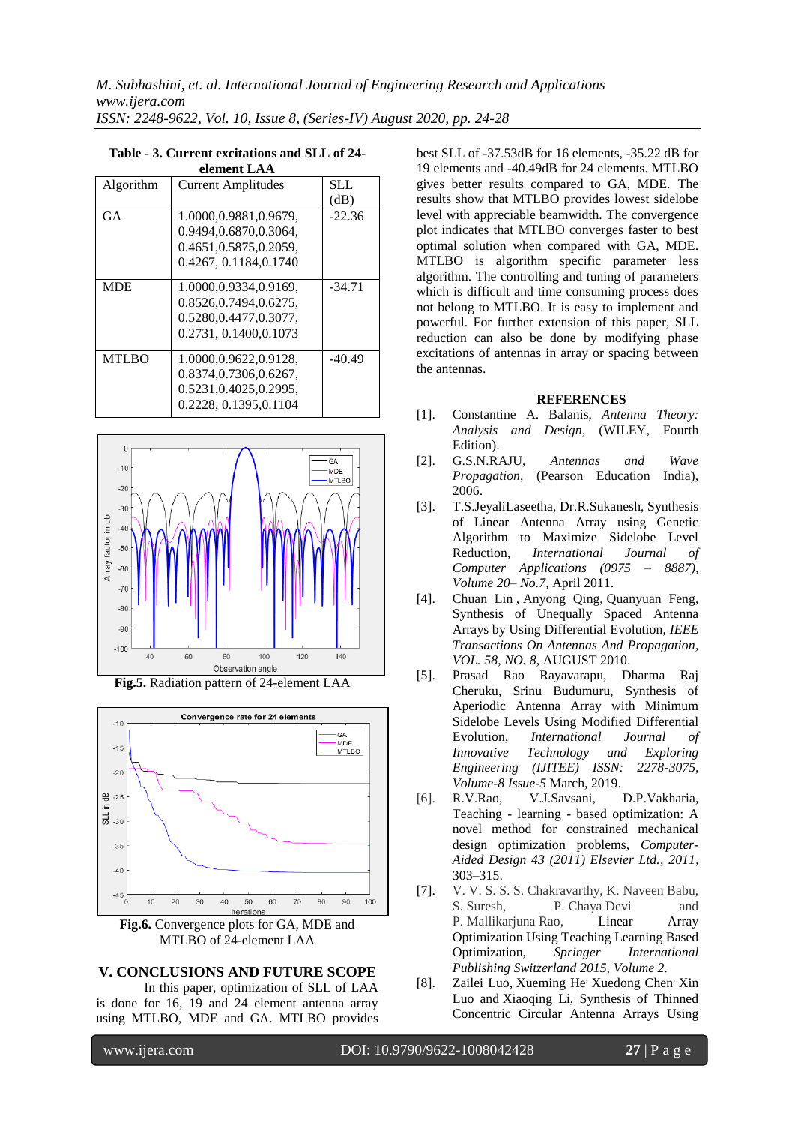| еннеш таа    |                           |          |  |  |
|--------------|---------------------------|----------|--|--|
| Algorithm    | <b>Current Amplitudes</b> | SLL.     |  |  |
|              |                           | (dB)     |  |  |
| GA           | 1.0000,0.9881,0.9679,     | $-22.36$ |  |  |
|              | 0.9494.0.6870.0.3064.     |          |  |  |
|              | 0.4651,0.5875,0.2059,     |          |  |  |
|              | 0.4267, 0.1184, 0.1740    |          |  |  |
| <b>MDE</b>   | 1.0000,0.9334,0.9169,     | $-34.71$ |  |  |
|              | 0.8526, 0.7494, 0.6275,   |          |  |  |
|              | 0.5280,0.4477,0.3077,     |          |  |  |
|              | 0.2731, 0.1400, 0.1073    |          |  |  |
| <b>MTLBO</b> | 1.0000,0.9622,0.9128,     | $-40.49$ |  |  |
|              | 0.8374.0.7306.0.6267.     |          |  |  |
|              | 0.5231,0.4025,0.2995,     |          |  |  |
|              | 0.2228, 0.1395, 0.1104    |          |  |  |

#### **Table - 3. Current excitations and SLL of 24 element LAA**



**Fig.5.** Radiation pattern of 24-element LAA



**Fig.6.** Convergence plots for GA, MDE and MTLBO of 24-element LAA

### **V. CONCLUSIONS AND FUTURE SCOPE**

In this paper, optimization of SLL of LAA is done for 16, 19 and 24 element antenna array using MTLBO, MDE and GA. MTLBO provides

best SLL of -37.53dB for 16 elements, -35.22 dB for 19 elements and -40.49dB for 24 elements. MTLBO gives better results compared to GA, MDE. The results show that MTLBO provides lowest sidelobe level with appreciable beamwidth. The convergence plot indicates that MTLBO converges faster to best optimal solution when compared with GA, MDE. MTLBO is algorithm specific parameter less algorithm. The controlling and tuning of parameters which is difficult and time consuming process does not belong to MTLBO. It is easy to implement and powerful. For further extension of this paper, SLL reduction can also be done by modifying phase excitations of antennas in array or spacing between the antennas.

### **REFERENCES**

- [1]. Constantine A. Balanis, *Antenna Theory: Analysis and Design*, (WILEY, Fourth Edition).
- [2]. G.S.N.RAJU, *Antennas and Wave Propagation*, (Pearson Education India), 2006.
- [3]. T.S.JeyaliLaseetha, Dr.R.Sukanesh, Synthesis of Linear Antenna Array using Genetic Algorithm to Maximize Sidelobe Level Reduction, *International Journal of Computer Applications (0975 – 8887), Volume 20– No.7,* April 2011.
- [4]. [Chuan Lin](https://ieeexplore.ieee.org/author/37404181900) , [Anyong Qing,](https://ieeexplore.ieee.org/author/37370452000) [Quanyuan Feng,](https://ieeexplore.ieee.org/author/37370452000) Synthesis of Unequally Spaced Antenna Arrays by Using Differential Evolution, *IEEE Transactions On Antennas And Propagation, VOL. 58, NO. 8,* AUGUST 2010.
- [5]. Prasad Rao Rayavarapu, Dharma Raj Cheruku, Srinu Budumuru, Synthesis of Aperiodic Antenna Array with Minimum Sidelobe Levels Using Modified Differential Evolution, *International Journal of Innovative Technology and Exploring Engineering (IJITEE) ISSN: 2278-3075, Volume-8 Issue-5* March, 2019.
- [6]. [R.V.Rao,](https://www.sciencedirect.com/science/article/abs/pii/S0010448510002484#!) [V.J.Savsani,](https://www.sciencedirect.com/science/article/abs/pii/S0010448510002484#!) [D.P.Vakharia,](https://www.sciencedirect.com/science/article/abs/pii/S0010448510002484#!) Teaching - learning - based optimization: A novel method for constrained mechanical design optimization problems, *Computer-Aided Design 43 (2011) Elsevier Ltd., 2011*, 303–315.
- [7]. V. V. S. S. S. Chakravarthy, K. Naveen Babu, S. Suresh, P. Chaya Devi and P. Mallikarjuna Rao, Linear Array Optimization Using Teaching Learning Based Optimization, *Springer International Publishing Switzerland 2015, Volume 2.*
- [8]. Zailei Luo, Xueming He' Xuedong Chen' Xin Luo and Xiaoqing Li, Synthesis of Thinned Concentric Circular Antenna Arrays Using